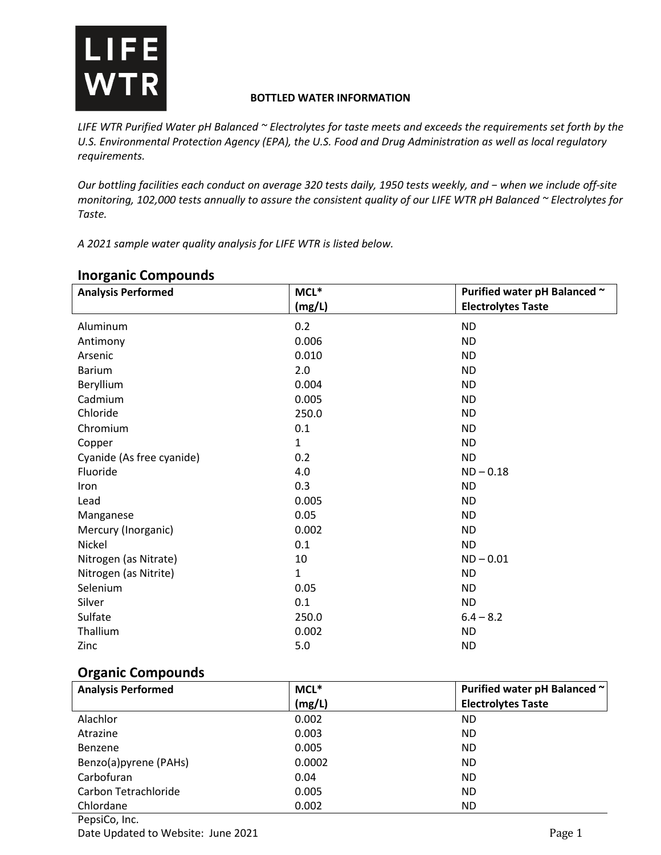

#### **BOTTLED WATER INFORMATION**

*LIFE WTR Purified Water pH Balanced ~ Electrolytes for taste meets and exceeds the requirements set forth by the U.S. Environmental Protection Agency (EPA), the U.S. Food and Drug Administration as well as local regulatory requirements.* 

*Our bottling facilities each conduct on average 320 tests daily, 1950 tests weekly, and − when we include off-site monitoring, 102,000 tests annually to assure the consistent quality of our LIFE WTR pH Balanced ~ Electrolytes for Taste.*

*A 2021 sample water quality analysis for LIFE WTR is listed below.*

| <b>Analysis Performed</b> | $MCL^*$      | Purified water pH Balanced ~ |
|---------------------------|--------------|------------------------------|
|                           | (mg/L)       | <b>Electrolytes Taste</b>    |
| Aluminum                  | 0.2          | <b>ND</b>                    |
| Antimony                  | 0.006        | <b>ND</b>                    |
| Arsenic                   | 0.010        | <b>ND</b>                    |
| <b>Barium</b>             | 2.0          | <b>ND</b>                    |
| Beryllium                 | 0.004        | <b>ND</b>                    |
| Cadmium                   | 0.005        | <b>ND</b>                    |
| Chloride                  | 250.0        | <b>ND</b>                    |
| Chromium                  | 0.1          | <b>ND</b>                    |
| Copper                    | $\mathbf{1}$ | <b>ND</b>                    |
| Cyanide (As free cyanide) | 0.2          | <b>ND</b>                    |
| Fluoride                  | 4.0          | $ND - 0.18$                  |
| Iron                      | 0.3          | <b>ND</b>                    |
| Lead                      | 0.005        | <b>ND</b>                    |
| Manganese                 | 0.05         | <b>ND</b>                    |
| Mercury (Inorganic)       | 0.002        | <b>ND</b>                    |
| Nickel                    | 0.1          | <b>ND</b>                    |
| Nitrogen (as Nitrate)     | 10           | $ND - 0.01$                  |
| Nitrogen (as Nitrite)     | $\mathbf{1}$ | <b>ND</b>                    |
| Selenium                  | 0.05         | <b>ND</b>                    |
| Silver                    | 0.1          | <b>ND</b>                    |
| Sulfate                   | 250.0        | $6.4 - 8.2$                  |
| Thallium                  | 0.002        | <b>ND</b>                    |
| Zinc                      | 5.0          | <b>ND</b>                    |
|                           |              |                              |

### **Inorganic Compounds**

## **Organic Compounds**

| <b>Analysis Performed</b> | MCL*   | Purified water pH Balanced ~ |
|---------------------------|--------|------------------------------|
|                           | (mg/L) | <b>Electrolytes Taste</b>    |
| Alachlor                  | 0.002  | <b>ND</b>                    |
| Atrazine                  | 0.003  | <b>ND</b>                    |
| Benzene                   | 0.005  | <b>ND</b>                    |
| Benzo(a)pyrene (PAHs)     | 0.0002 | <b>ND</b>                    |
| Carbofuran                | 0.04   | <b>ND</b>                    |
| Carbon Tetrachloride      | 0.005  | <b>ND</b>                    |
| Chlordane                 | 0.002  | <b>ND</b>                    |
| PepsiCo, Inc.             |        |                              |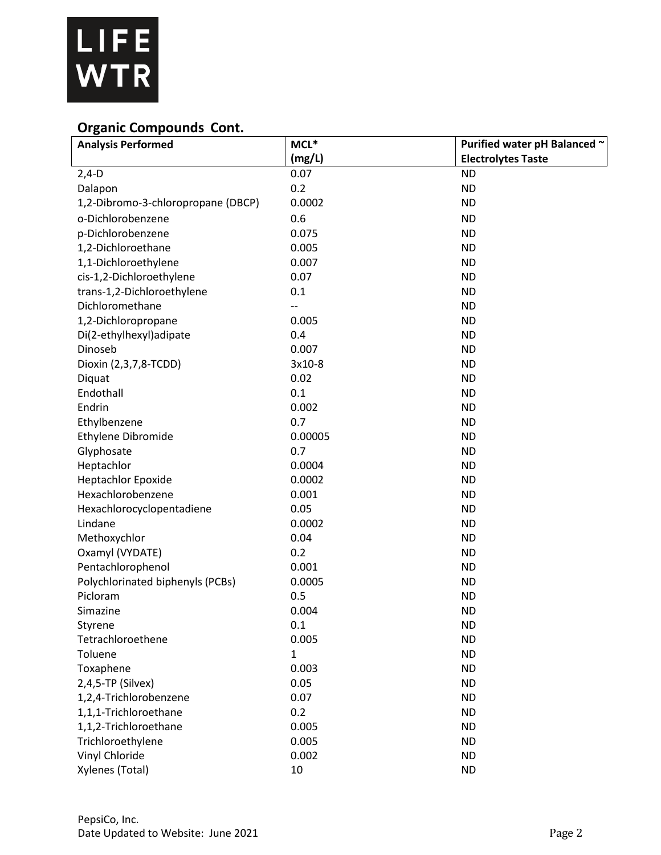

# **Organic Compounds Cont.**

| <b>Analysis Performed</b>          | $MCL^*$      | Purified water pH Balanced ~ |
|------------------------------------|--------------|------------------------------|
|                                    | (mg/L)       | <b>Electrolytes Taste</b>    |
| $2,4-D$                            | 0.07         | <b>ND</b>                    |
| Dalapon                            | 0.2          | <b>ND</b>                    |
| 1,2-Dibromo-3-chloropropane (DBCP) | 0.0002       | <b>ND</b>                    |
| o-Dichlorobenzene                  | 0.6          | <b>ND</b>                    |
| p-Dichlorobenzene                  | 0.075        | <b>ND</b>                    |
| 1,2-Dichloroethane                 | 0.005        | <b>ND</b>                    |
| 1,1-Dichloroethylene               | 0.007        | <b>ND</b>                    |
| cis-1,2-Dichloroethylene           | 0.07         | <b>ND</b>                    |
| trans-1,2-Dichloroethylene         | 0.1          | <b>ND</b>                    |
| Dichloromethane                    |              | <b>ND</b>                    |
| 1,2-Dichloropropane                | 0.005        | <b>ND</b>                    |
| Di(2-ethylhexyl)adipate            | 0.4          | <b>ND</b>                    |
| Dinoseb                            | 0.007        | <b>ND</b>                    |
| Dioxin (2,3,7,8-TCDD)              | 3x10-8       | <b>ND</b>                    |
| Diquat                             | 0.02         | <b>ND</b>                    |
| Endothall                          | 0.1          | <b>ND</b>                    |
| Endrin                             | 0.002        | <b>ND</b>                    |
| Ethylbenzene                       | 0.7          | <b>ND</b>                    |
| Ethylene Dibromide                 | 0.00005      | <b>ND</b>                    |
| Glyphosate                         | 0.7          | <b>ND</b>                    |
| Heptachlor                         | 0.0004       | <b>ND</b>                    |
| <b>Heptachlor Epoxide</b>          | 0.0002       | <b>ND</b>                    |
| Hexachlorobenzene                  | 0.001        | <b>ND</b>                    |
| Hexachlorocyclopentadiene          | 0.05         | <b>ND</b>                    |
| Lindane                            | 0.0002       | <b>ND</b>                    |
| Methoxychlor                       | 0.04         | <b>ND</b>                    |
| Oxamyl (VYDATE)                    | 0.2          | <b>ND</b>                    |
| Pentachlorophenol                  | 0.001        | <b>ND</b>                    |
| Polychlorinated biphenyls (PCBs)   | 0.0005       | <b>ND</b>                    |
| Picloram                           | 0.5          | <b>ND</b>                    |
| Simazine                           | 0.004        | <b>ND</b>                    |
| Styrene                            | 0.1          | <b>ND</b>                    |
| Tetrachloroethene                  | 0.005        | <b>ND</b>                    |
| Toluene                            | $\mathbf{1}$ | <b>ND</b>                    |
| Toxaphene                          | 0.003        | <b>ND</b>                    |
| 2,4,5-TP (Silvex)                  | 0.05         | <b>ND</b>                    |
| 1,2,4-Trichlorobenzene             | 0.07         | <b>ND</b>                    |
| 1,1,1-Trichloroethane              | 0.2          | <b>ND</b>                    |
| 1,1,2-Trichloroethane              | 0.005        | <b>ND</b>                    |
| Trichloroethylene                  | 0.005        | <b>ND</b>                    |
| Vinyl Chloride                     | 0.002        | <b>ND</b>                    |
| Xylenes (Total)                    | 10           | <b>ND</b>                    |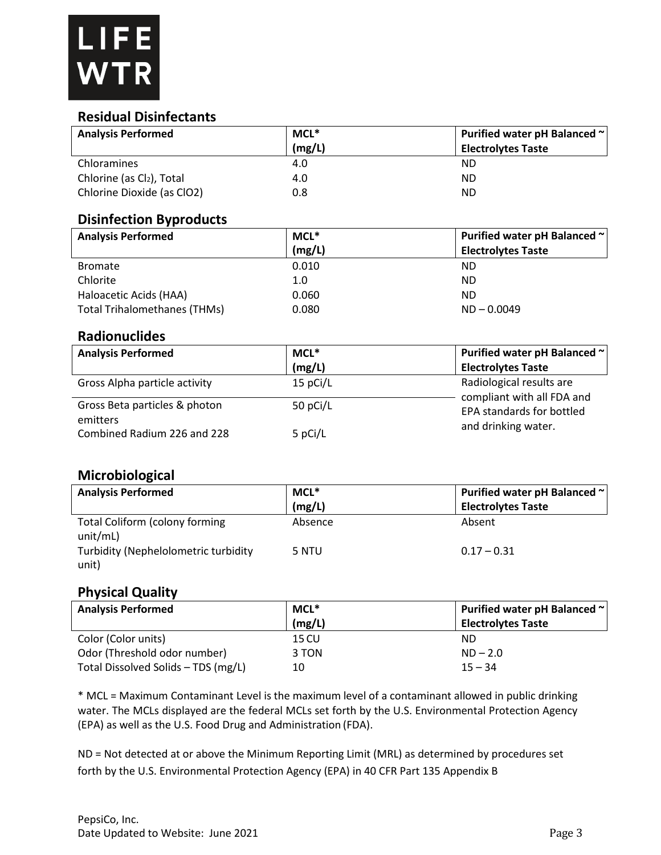### **Residual Disinfectants**

| <b>Analysis Performed</b>                 | MCL*     | Purified water pH Balanced ~                           |
|-------------------------------------------|----------|--------------------------------------------------------|
|                                           | (mg/L)   | <b>Electrolytes Taste</b>                              |
| Chloramines                               | 4.0      | <b>ND</b>                                              |
| Chlorine (as Cl2), Total                  | 4.0      | <b>ND</b>                                              |
| Chlorine Dioxide (as ClO2)                | 0.8      | <b>ND</b>                                              |
| <b>Disinfection Byproducts</b>            |          |                                                        |
| <b>Analysis Performed</b>                 | MCL*     | Purified water pH Balanced ~                           |
|                                           | (mg/L)   | <b>Electrolytes Taste</b>                              |
| <b>Bromate</b>                            | 0.010    | <b>ND</b>                                              |
| Chlorite                                  | 1.0      | <b>ND</b>                                              |
| Haloacetic Acids (HAA)                    | 0.060    | <b>ND</b>                                              |
| <b>Total Trihalomethanes (THMs)</b>       | 0.080    | $ND - 0.0049$                                          |
| <b>Radionuclides</b>                      |          |                                                        |
| <b>Analysis Performed</b>                 | MCL*     | Purified water pH Balanced ~                           |
|                                           | (mg/L)   | <b>Electrolytes Taste</b>                              |
| Gross Alpha particle activity             | 15 pCi/L | Radiological results are<br>compliant with all FDA and |
| Gross Beta particles & photon<br>emitters | 50 pCi/L | <b>EPA standards for bottled</b>                       |
| Combined Radium 226 and 228               | 5 pCi/L  | and drinking water.                                    |
|                                           |          |                                                        |

## **Microbiological**

| <b>Analysis Performed</b>                     | MCL*    | Purified water pH Balanced ~ |
|-----------------------------------------------|---------|------------------------------|
|                                               | (mg/L)  | <b>Electrolytes Taste</b>    |
| Total Coliform (colony forming<br>unit/mL)    | Absence | Absent                       |
| Turbidity (Nephelolometric turbidity<br>unit) | 5 NTU   | $0.17 - 0.31$                |

### **Physical Quality**

| <b>Analysis Performed</b>           | MCL*   | Purified water pH Balanced ~ |
|-------------------------------------|--------|------------------------------|
|                                     | (mg/L) | <b>Electrolytes Taste</b>    |
| Color (Color units)                 | 15 CU  | ND.                          |
| Odor (Threshold odor number)        | 3 TON  | $ND - 2.0$                   |
| Total Dissolved Solids - TDS (mg/L) | 10     | $15 - 34$                    |

\* MCL = Maximum Contaminant Level is the maximum level of a contaminant allowed in public drinking water. The MCLs displayed are the federal MCLs set forth by the U.S. Environmental Protection Agency (EPA) as well as the U.S. Food Drug and Administration (FDA).

ND = Not detected at or above the Minimum Reporting Limit (MRL) as determined by procedures set forth by the U.S. Environmental Protection Agency (EPA) in 40 CFR Part 135 Appendix B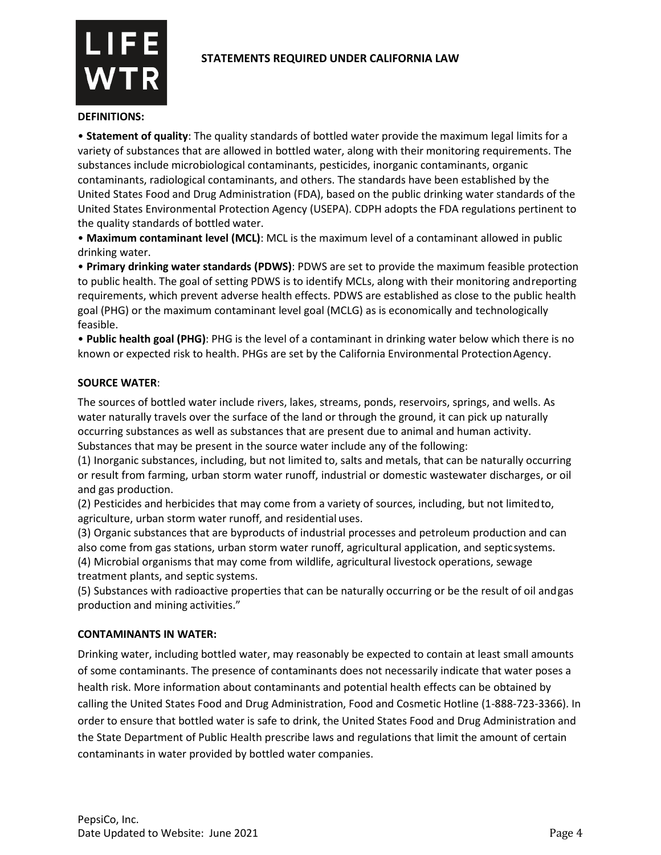



#### **DEFINITIONS:**

• **Statement of quality**: The quality standards of bottled water provide the maximum legal limits for a variety of substances that are allowed in bottled water, along with their monitoring requirements. The substances include microbiological contaminants, pesticides, inorganic contaminants, organic contaminants, radiological contaminants, and others. The standards have been established by the United States Food and Drug Administration (FDA), based on the public drinking water standards of the United States Environmental Protection Agency (USEPA). CDPH adopts the FDA regulations pertinent to the quality standards of bottled water.

• **Maximum contaminant level (MCL)**: MCL is the maximum level of a contaminant allowed in public drinking water.

• **Primary drinking water standards (PDWS)**: PDWS are set to provide the maximum feasible protection to public health. The goal of setting PDWS is to identify MCLs, along with their monitoring andreporting requirements, which prevent adverse health effects. PDWS are established as close to the public health goal (PHG) or the maximum contaminant level goal (MCLG) as is economically and technologically feasible.

• **Public health goal (PHG)**: PHG is the level of a contaminant in drinking water below which there is no known or expected risk to health. PHGs are set by the California Environmental ProtectionAgency.

#### **SOURCE WATER**:

The sources of bottled water include rivers, lakes, streams, ponds, reservoirs, springs, and wells. As water naturally travels over the surface of the land or through the ground, it can pick up naturally occurring substances as well as substances that are present due to animal and human activity. Substances that may be present in the source water include any of the following:

(1) Inorganic substances, including, but not limited to, salts and metals, that can be naturally occurring or result from farming, urban storm water runoff, industrial or domestic wastewater discharges, or oil and gas production.

(2) Pesticides and herbicides that may come from a variety of sources, including, but not limitedto, agriculture, urban storm water runoff, and residential uses.

(3) Organic substances that are byproducts of industrial processes and petroleum production and can also come from gas stations, urban storm water runoff, agricultural application, and septicsystems. (4) Microbial organisms that may come from wildlife, agricultural livestock operations, sewage treatment plants, and septic systems.

(5) Substances with radioactive properties that can be naturally occurring or be the result of oil andgas production and mining activities."

#### **CONTAMINANTS IN WATER:**

Drinking water, including bottled water, may reasonably be expected to contain at least small amounts of some contaminants. The presence of contaminants does not necessarily indicate that water poses a health risk. More information about contaminants and potential health effects can be obtained by calling the United States Food and Drug Administration, Food and Cosmetic Hotline (1-888-723-3366). In order to ensure that bottled water is safe to drink, the United States Food and Drug Administration and the State Department of Public Health prescribe laws and regulations that limit the amount of certain contaminants in water provided by bottled water companies.